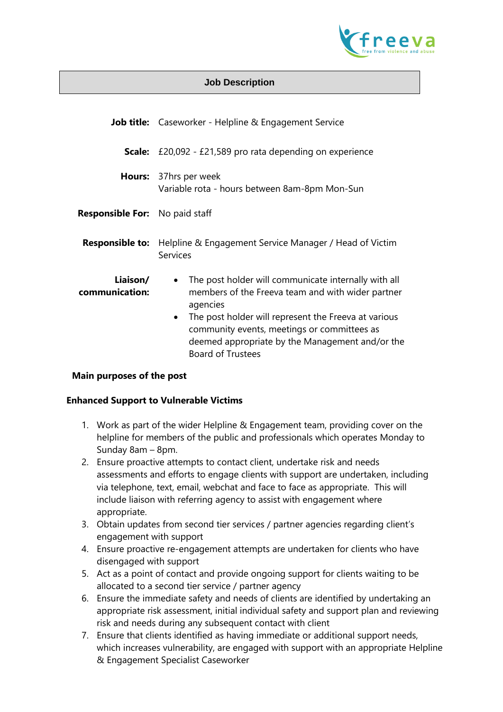

### **Job Description**

|                                       | Job title: Caseworker - Helpline & Engagement Service                                                                                                                                                                                                                                                                                 |
|---------------------------------------|---------------------------------------------------------------------------------------------------------------------------------------------------------------------------------------------------------------------------------------------------------------------------------------------------------------------------------------|
| Scale:                                | £20,092 - £21,589 pro rata depending on experience                                                                                                                                                                                                                                                                                    |
|                                       | <b>Hours:</b> 37hrs per week<br>Variable rota - hours between 8am-8pm Mon-Sun                                                                                                                                                                                                                                                         |
| <b>Responsible For:</b> No paid staff |                                                                                                                                                                                                                                                                                                                                       |
| <b>Responsible to:</b>                | Helpline & Engagement Service Manager / Head of Victim<br><b>Services</b>                                                                                                                                                                                                                                                             |
| Liaison/<br>communication:            | The post holder will communicate internally with all<br>$\bullet$<br>members of the Freeva team and with wider partner<br>agencies<br>The post holder will represent the Freeva at various<br>$\bullet$<br>community events, meetings or committees as<br>deemed appropriate by the Management and/or the<br><b>Board of Trustees</b> |

### **Main purposes of the post**

### **Enhanced Support to Vulnerable Victims**

- 1. Work as part of the wider Helpline & Engagement team, providing cover on the helpline for members of the public and professionals which operates Monday to Sunday 8am – 8pm.
- 2. Ensure proactive attempts to contact client, undertake risk and needs assessments and efforts to engage clients with support are undertaken, including via telephone, text, email, webchat and face to face as appropriate. This will include liaison with referring agency to assist with engagement where appropriate.
- 3. Obtain updates from second tier services / partner agencies regarding client's engagement with support
- 4. Ensure proactive re-engagement attempts are undertaken for clients who have disengaged with support
- 5. Act as a point of contact and provide ongoing support for clients waiting to be allocated to a second tier service / partner agency
- 6. Ensure the immediate safety and needs of clients are identified by undertaking an appropriate risk assessment, initial individual safety and support plan and reviewing risk and needs during any subsequent contact with client
- 7. Ensure that clients identified as having immediate or additional support needs, which increases vulnerability, are engaged with support with an appropriate Helpline & Engagement Specialist Caseworker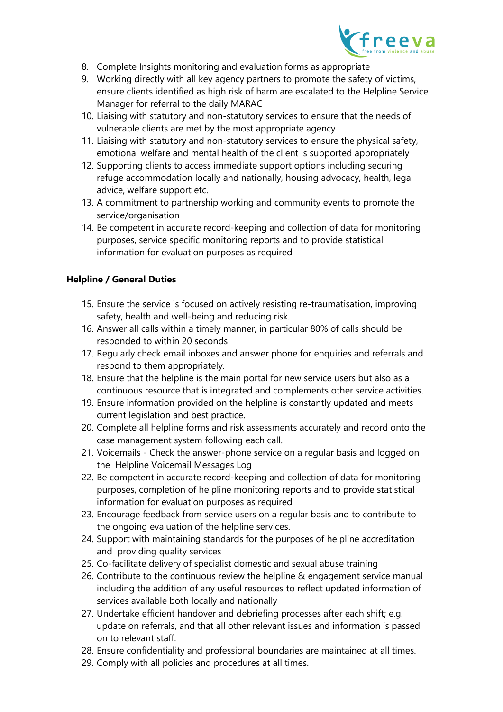

- 8. Complete Insights monitoring and evaluation forms as appropriate
- 9. Working directly with all key agency partners to promote the safety of victims, ensure clients identified as high risk of harm are escalated to the Helpline Service Manager for referral to the daily MARAC
- 10. Liaising with statutory and non-statutory services to ensure that the needs of vulnerable clients are met by the most appropriate agency
- 11. Liaising with statutory and non-statutory services to ensure the physical safety, emotional welfare and mental health of the client is supported appropriately
- 12. Supporting clients to access immediate support options including securing refuge accommodation locally and nationally, housing advocacy, health, legal advice, welfare support etc.
- 13. A commitment to partnership working and community events to promote the service/organisation
- 14. Be competent in accurate record-keeping and collection of data for monitoring purposes, service specific monitoring reports and to provide statistical information for evaluation purposes as required

# **Helpline / General Duties**

- 15. Ensure the service is focused on actively resisting re-traumatisation, improving safety, health and well-being and reducing risk.
- 16. Answer all calls within a timely manner, in particular 80% of calls should be responded to within 20 seconds
- 17. Regularly check email inboxes and answer phone for enquiries and referrals and respond to them appropriately.
- 18. Ensure that the helpline is the main portal for new service users but also as a continuous resource that is integrated and complements other service activities.
- 19. Ensure information provided on the helpline is constantly updated and meets current legislation and best practice.
- 20. Complete all helpline forms and risk assessments accurately and record onto the case management system following each call.
- 21. Voicemails Check the answer-phone service on a regular basis and logged on the Helpline Voicemail Messages Log
- 22. Be competent in accurate record-keeping and collection of data for monitoring purposes, completion of helpline monitoring reports and to provide statistical information for evaluation purposes as required
- 23. Encourage feedback from service users on a regular basis and to contribute to the ongoing evaluation of the helpline services.
- 24. Support with maintaining standards for the purposes of helpline accreditation and providing quality services
- 25. Co-facilitate delivery of specialist domestic and sexual abuse training
- 26. Contribute to the continuous review the helpline & engagement service manual including the addition of any useful resources to reflect updated information of services available both locally and nationally
- 27. Undertake efficient handover and debriefing processes after each shift; e.g. update on referrals, and that all other relevant issues and information is passed on to relevant staff.
- 28. Ensure confidentiality and professional boundaries are maintained at all times.
- 29. Comply with all policies and procedures at all times.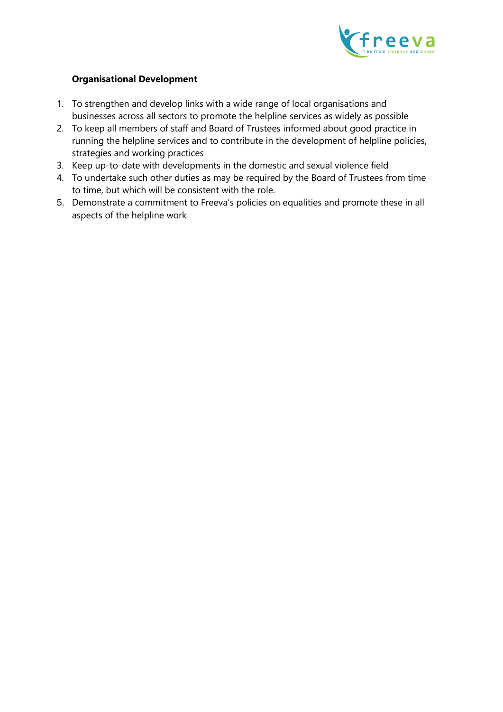

## **Organisational Development**

- 1. To strengthen and develop links with a wide range of local organisations and businesses across all sectors to promote the helpline services as widely as possible
- 2. To keep all members of staff and Board of Trustees informed about good practice in running the helpline services and to contribute in the development of helpline policies, strategies and working practices
- 3. Keep up-to-date with developments in the domestic and sexual violence field
- 4. To undertake such other duties as may be required by the Board of Trustees from time to time, but which will be consistent with the role.
- 5. Demonstrate a commitment to Freeva's policies on equalities and promote these in all aspects of the helpline work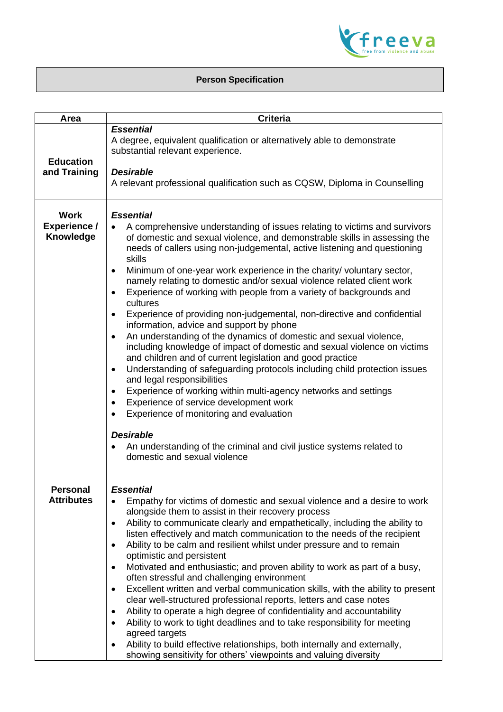

# **Person Specification**

| <b>Area</b>                                     | <b>Criteria</b>                                                                                                                                                                                                                                                                                                                                                                                                                                                                                                                                                                                                                                                                                                                                                                                                                                                                                                                                                                                                                                                                                                                                                                                                                                                                                                                                                  |
|-------------------------------------------------|------------------------------------------------------------------------------------------------------------------------------------------------------------------------------------------------------------------------------------------------------------------------------------------------------------------------------------------------------------------------------------------------------------------------------------------------------------------------------------------------------------------------------------------------------------------------------------------------------------------------------------------------------------------------------------------------------------------------------------------------------------------------------------------------------------------------------------------------------------------------------------------------------------------------------------------------------------------------------------------------------------------------------------------------------------------------------------------------------------------------------------------------------------------------------------------------------------------------------------------------------------------------------------------------------------------------------------------------------------------|
| <b>Education</b><br>and Training                | <b>Essential</b><br>A degree, equivalent qualification or alternatively able to demonstrate<br>substantial relevant experience.<br><b>Desirable</b><br>A relevant professional qualification such as CQSW, Diploma in Counselling                                                                                                                                                                                                                                                                                                                                                                                                                                                                                                                                                                                                                                                                                                                                                                                                                                                                                                                                                                                                                                                                                                                                |
| <b>Work</b><br><b>Experience /</b><br>Knowledge | <b>Essential</b><br>A comprehensive understanding of issues relating to victims and survivors<br>$\bullet$<br>of domestic and sexual violence, and demonstrable skills in assessing the<br>needs of callers using non-judgemental, active listening and questioning<br>skills<br>Minimum of one-year work experience in the charity/ voluntary sector,<br>$\bullet$<br>namely relating to domestic and/or sexual violence related client work<br>Experience of working with people from a variety of backgrounds and<br>$\bullet$<br>cultures<br>Experience of providing non-judgemental, non-directive and confidential<br>$\bullet$<br>information, advice and support by phone<br>An understanding of the dynamics of domestic and sexual violence,<br>$\bullet$<br>including knowledge of impact of domestic and sexual violence on victims<br>and children and of current legislation and good practice<br>Understanding of safeguarding protocols including child protection issues<br>$\bullet$<br>and legal responsibilities<br>Experience of working within multi-agency networks and settings<br>$\bullet$<br>Experience of service development work<br>$\bullet$<br>Experience of monitoring and evaluation<br>$\bullet$<br><b>Desirable</b><br>An understanding of the criminal and civil justice systems related to<br>domestic and sexual violence |
| <b>Personal</b><br><b>Attributes</b>            | <b>Essential</b><br>Empathy for victims of domestic and sexual violence and a desire to work<br>$\bullet$<br>alongside them to assist in their recovery process<br>Ability to communicate clearly and empathetically, including the ability to<br>$\bullet$<br>listen effectively and match communication to the needs of the recipient<br>Ability to be calm and resilient whilst under pressure and to remain<br>$\bullet$<br>optimistic and persistent<br>Motivated and enthusiastic; and proven ability to work as part of a busy,<br>$\bullet$<br>often stressful and challenging environment<br>Excellent written and verbal communication skills, with the ability to present<br>$\bullet$<br>clear well-structured professional reports, letters and case notes<br>Ability to operate a high degree of confidentiality and accountability<br>$\bullet$<br>Ability to work to tight deadlines and to take responsibility for meeting<br>$\bullet$<br>agreed targets<br>Ability to build effective relationships, both internally and externally,<br>$\bullet$<br>showing sensitivity for others' viewpoints and valuing diversity                                                                                                                                                                                                                         |